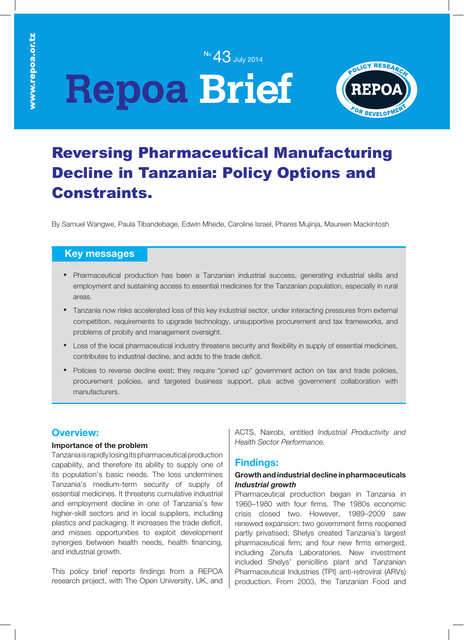No 43 July 2014

# **Repoa Brief**



## Reversing Pharmaceutical Manufacturing Decline in Tanzania: Policy Options and Constraints.

By Samuel Wangwe, Paula Tibandebage, Edwin Mhede, Caroline Israel, Phares Mujinja, Maureen Mackintosh

### **Key messages**

- Pharmaceutical production has been a Tanzanian industrial success, generating industrial skills and employment and sustaining access to essential medicines for the Tanzanian population, especially in rural areas.
- Tanzania now risks accelerated loss of this key industrial sector, under interacting pressures from external competition, requirements to upgrade technology, unsupportive procurement and tax frameworks, and problems of probity and management oversight.
- Loss of the local pharmaceutical industry threatens security and flexibility in supply of essential medicines, contributes to industrial decline, and adds to the trade deficit.
- Policies to reverse decline exist; they require "joined up" government action on tax and trade policies, procurement policies, and targeted business support, plus active government collaboration with manufacturers.

### **Overview:**

#### **Importance of the problem**

Tanzania is rapidly losing its pharmaceutical production capability, and therefore its ability to supply one of its population's basic needs. The loss undermines Tanzania's medium-term security of supply of essential medicines. It threatens cumulative industrial and employment decline in one of Tanzania's few higher-skill sectors and in local suppliers, including plastics and packaging. It increases the trade deficit, and misses opportunities to exploit development synergies between health needs, health financing, and industrial growth.

This policy brief reports findings from a REPOA research project, with The Open University, UK, and ACTS, Nairobi, entitled *Industrial Productivity and Health Sector Performance.*

### **Findings:**

#### **Growth and industrial decline in pharmaceuticals** *Industrial growth*

Pharmaceutical production began in Tanzania in 1960–1980 with four firms. The 1980s economic crisis closed two. However, 1989–2009 saw renewed expansion: two government firms reopened partly privatised; Shelys created Tanzania's largest pharmaceutical firm; and four new firms emerged, including Zenufa Laboratories. New investment included Shelys' penicillins plant and Tanzanian Pharmaceutical Industries (TPI) anti-retroviral (ARVs) production. From 2003, the Tanzanian Food and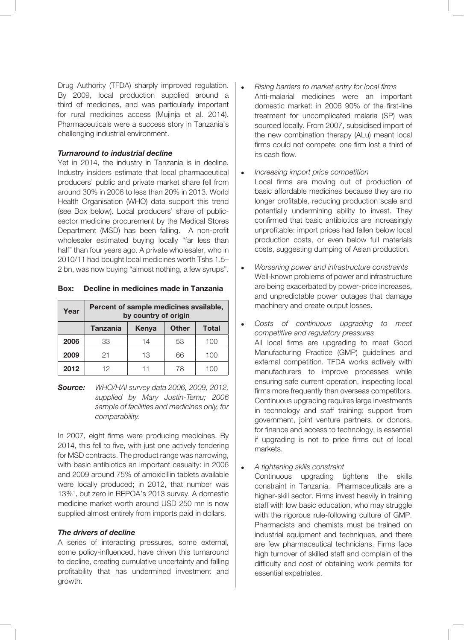Drug Authority (TFDA) sharply improved regulation. By 2009, local production supplied around a third of medicines, and was particularly important for rural medicines access (Mujinja et al. 2014). Pharmaceuticals were a success story in Tanzania's challenging industrial environment.

#### *Turnaround to industrial decline*

Yet in 2014, the industry in Tanzania is in decline. Industry insiders estimate that local pharmaceutical producers' public and private market share fell from around 30% in 2006 to less than 20% in 2013. World Health Organisation (WHO) data support this trend (see Box below). Local producers' share of publicsector medicine procurement by the Medical Stores Department (MSD) has been falling. A non-profit wholesaler estimated buying locally "far less than half" than four years ago. A private wholesaler, who in 2010/11 had bought local medicines worth Tshs 1.5– 2 bn, was now buying "almost nothing, a few syrups".

|  | <b>Box:</b> Decline in medicines made in Tanzania |  |
|--|---------------------------------------------------|--|
|  |                                                   |  |

| Year | Percent of sample medicines available,<br>by country of origin |       |              |              |  |
|------|----------------------------------------------------------------|-------|--------------|--------------|--|
|      | <b>Tanzania</b>                                                | Kenya | <b>Other</b> | <b>Total</b> |  |
| 2006 | 33                                                             | 14    | 53           | 100          |  |
| 2009 | 21                                                             | 13    | 66           | 100          |  |
| 2012 | 12                                                             | 11    | 78           | 100          |  |

*Source: WHO/HAI survey data 2006, 2009, 2012, supplied by Mary Justin-Temu; 2006 sample of facilities and medicines only, for comparability.*

In 2007, eight firms were producing medicines. By 2014, this fell to five, with just one actively tendering for MSD contracts. The product range was narrowing, with basic antibiotics an important casualty: in 2006 and 2009 around 75% of amoxicillin tablets available were locally produced; in 2012, that number was 13%1 , but zero in REPOA's 2013 survey. A domestic medicine market worth around USD 250 mn is now supplied almost entirely from imports paid in dollars.

#### *The drivers of decline*

A series of interacting pressures, some external, some policy-influenced, have driven this turnaround to decline, creating cumulative uncertainty and falling profitability that has undermined investment and growth.

- <sup>l</sup> *Rising barriers to market entry for local firms* Anti-malarial medicines were an important domestic market: in 2006 90% of the first-line treatment for uncomplicated malaria (SP) was sourced locally. From 2007, subsidised import of the new combination therapy (ALu) meant local firms could not compete: one firm lost a third of its cash flow.
- <sup>l</sup> *Increasing import price competition*
- Local firms are moving out of production of basic affordable medicines because they are no longer profitable, reducing production scale and potentially undermining ability to invest. They confirmed that basic antibiotics are increasingly unprofitable: import prices had fallen below local production costs, or even below full materials costs, suggesting dumping of Asian production.
- <sup>l</sup> *Worsening power and infrastructure constraints* Well-known problems of power and infrastructure are being exacerbated by power-price increases, and unpredictable power outages that damage machinery and create output losses.
- <sup>l</sup> *Costs of continuous upgrading to meet competitive and regulatory pressures* All local firms are upgrading to meet Good Manufacturing Practice (GMP) guidelines and external competition. TFDA works actively with manufacturers to improve processes while ensuring safe current operation, inspecting local firms more frequently than overseas competitors. Continuous upgrading requires large investments in technology and staff training; support from government, joint venture partners, or donors, for finance and access to technology, is essential if upgrading is not to price firms out of local markets.
- <sup>l</sup> *A tightening skills constraint*

Continuous upgrading tightens the skills constraint in Tanzania. Pharmaceuticals are a higher-skill sector. Firms invest heavily in training staff with low basic education, who may struggle with the rigorous rule-following culture of GMP. Pharmacists and chemists must be trained on industrial equipment and techniques, and there are few pharmaceutical technicians. Firms face high turnover of skilled staff and complain of the difficulty and cost of obtaining work permits for essential expatriates.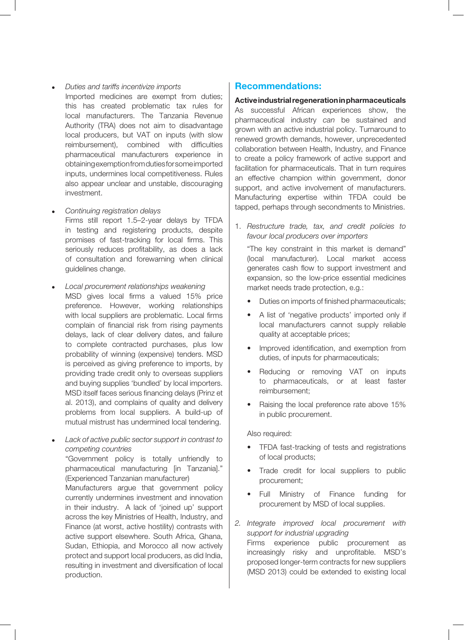- <sup>l</sup> *Duties and tariffs incentivize imports* Imported medicines are exempt from duties; this has created problematic tax rules for local manufacturers. The Tanzania Revenue Authority (TRA) does not aim to disadvantage local producers, but VAT on inputs (with slow reimbursement), combined with difficulties pharmaceutical manufacturers experience in obtaining exemption from duties for some imported inputs, undermines local competitiveness. Rules also appear unclear and unstable, discouraging investment.
- <sup>l</sup> *Continuing registration delays* Firms still report 1.5–2-year delays by TFDA in testing and registering products, despite promises of fast-tracking for local firms. This seriously reduces profitability, as does a lack of consultation and forewarning when clinical guidelines change.
- <sup>l</sup> *Local procurement relationships weakening* MSD gives local firms a valued 15% price preference. However, working relationships with local suppliers are problematic. Local firms complain of financial risk from rising payments delays, lack of clear delivery dates, and failure to complete contracted purchases, plus low probability of winning (expensive) tenders. MSD is perceived as giving preference to imports, by providing trade credit only to overseas suppliers and buying supplies 'bundled' by local importers. MSD itself faces serious financing delays (Prinz et al. 2013), and complains of quality and delivery problems from local suppliers. A build-up of mutual mistrust has undermined local tendering.
- Lack of active public sector support in contrast to *competing countries*

"Government policy is totally unfriendly to pharmaceutical manufacturing [in Tanzania]." (Experienced Tanzanian manufacturer)

Manufacturers argue that government policy currently undermines investment and innovation in their industry. A lack of 'joined up' support across the key Ministries of Health, Industry, and Finance (at worst, active hostility) contrasts with active support elsewhere. South Africa, Ghana, Sudan, Ethiopia, and Morocco all now actively protect and support local producers, as did India, resulting in investment and diversification of local production.

#### **Recommendations:**

**Active industrial regeneration in pharmaceuticals** As successful African experiences show, the pharmaceutical industry *can* be sustained and grown with an active industrial policy. Turnaround to renewed growth demands, however, unprecedented collaboration between Health, Industry, and Finance to create a policy framework of active support and facilitation for pharmaceuticals. That in turn requires an effective champion within government, donor support, and active involvement of manufacturers. Manufacturing expertise within TFDA could be tapped, perhaps through secondments to Ministries.

1. *Restructure trade, tax, and credit policies to favour local producers over importers* 

"The key constraint in this market is demand" (local manufacturer). Local market access generates cash flow to support investment and expansion, so the low-price essential medicines market needs trade protection, e.g.:

- Duties on imports of finished pharmaceuticals;
- • A list of 'negative products' imported only if local manufacturers cannot supply reliable quality at acceptable prices;
- Improved identification, and exemption from duties, of inputs for pharmaceuticals;
- Reducing or removing VAT on inputs to pharmaceuticals, or at least faster reimbursement;
- Raising the local preference rate above 15% in public procurement.

Also required:

- TFDA fast-tracking of tests and registrations of local products;
- Trade credit for local suppliers to public procurement;
- Full Ministry of Finance funding for procurement by MSD of local supplies.
- *2. Integrate improved local procurement with support for industrial upgrading* Firms experience public procurement as increasingly risky and unprofitable. MSD's proposed longer-term contracts for new suppliers (MSD 2013) could be extended to existing local